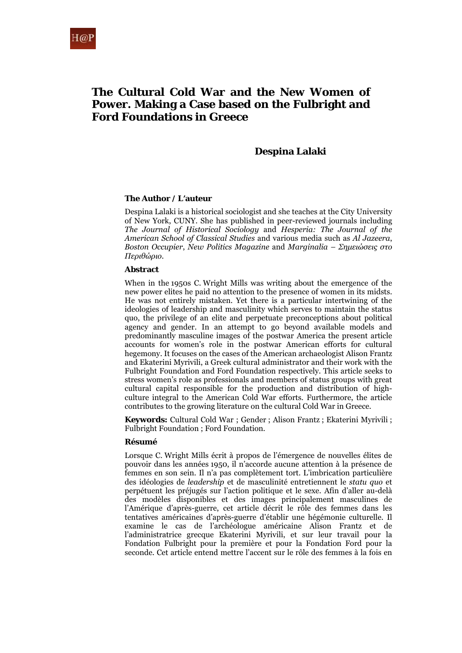# **The Cultural Cold War and the New Women of Power. Making a Case based on the Fulbright and Ford Foundations in Greece**

### **Despina Lalaki**

### **The Author / L'auteur**

Despina Lalaki is a historical sociologist and she teaches at the City University of New York, CUNY. She has published in peer-reviewed journals including *The Journal of Historical Sociology* and *Hesperia: The Journal of the American School of Classical Studies* and various media such as *Al Jazeera*, *Boston Occupier*, *New Politics Magazine* and *Marginalia – Σημειώσεις στο Περιθώριο.*

### **Abstract**

When in the 1950s C. Wright Mills was writing about the emergence of the new power elites he paid no attention to the presence of women in its midsts. He was not entirely mistaken. Yet there is a particular intertwining of the ideologies of leadership and masculinity which serves to maintain the status quo, the privilege of an elite and perpetuate preconceptions about political agency and gender. In an attempt to go beyond available models and predominantly masculine images of the postwar America the present article accounts for women's role in the postwar American efforts for cultural hegemony. It focuses on the cases of the American archaeologist Alison Frantz and Ekaterini Myrivili, a Greek cultural administrator and their work with the Fulbright Foundation and Ford Foundation respectively. This article seeks to stress women's role as professionals and members of status groups with great cultural capital responsible for the production and distribution of highculture integral to the American Cold War efforts. Furthermore, the article contributes to the growing literature on the cultural Cold War in Greece.

**Keywords:** Cultural Cold War ; Gender ; Alison Frantz ; Ekaterini Myrivili ; Fulbright Foundation ; Ford Foundation.

#### **Résumé**

Lorsque C. Wright Mills écrit à propos de l'émergence de nouvelles élites de pouvoir dans les années 1950, il n'accorde aucune attention à la présence de femmes en son sein. Il n'a pas complètement tort. L'imbrication particulière des idéologies de *leadership* et de masculinité entretiennent le *statu quo* et perpétuent les préjugés sur l'action politique et le sexe. Afin d'aller au-delà des modèles disponibles et des images principalement masculines de l'Amérique d'après-guerre, cet article décrit le rôle des femmes dans les tentatives américaines d'après-guerre d'établir une hégémonie culturelle. Il examine le cas de l'archéologue américaine Alison Frantz et de l'administratrice grecque Ekaterini Myrivili, et sur leur travail pour la Fondation Fulbright pour la première et pour la Fondation Ford pour la seconde. Cet article entend mettre l'accent sur le rôle des femmes à la fois en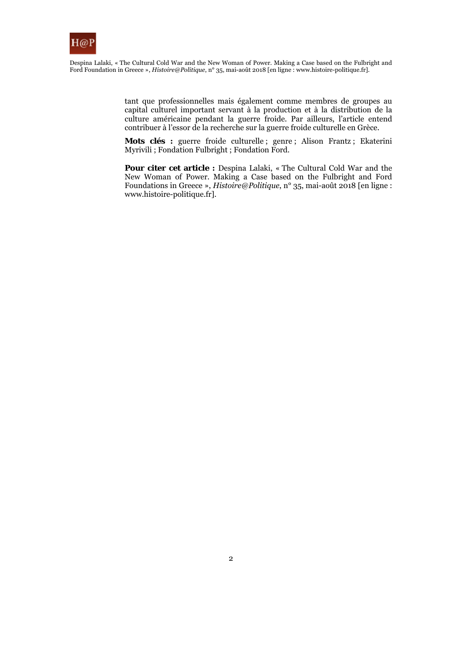

> tant que professionnelles mais également comme membres de groupes au capital culturel important servant à la production et à la distribution de la culture américaine pendant la guerre froide. Par ailleurs, l'article entend contribuer à l'essor de la recherche sur la guerre froide culturelle en Grèce.

> **Mots clés :** guerre froide culturelle ; genre ; Alison Frantz ; Ekaterini Myrivili ; Fondation Fulbright ; Fondation Ford.

> Pour citer cet article : Despina Lalaki, « The Cultural Cold War and the New Woman of Power. Making a Case based on the Fulbright and Ford Foundations in Greece », *Histoire@Politique*, n° 35, mai-août 2018 [en ligne : www.histoire-politique.fr].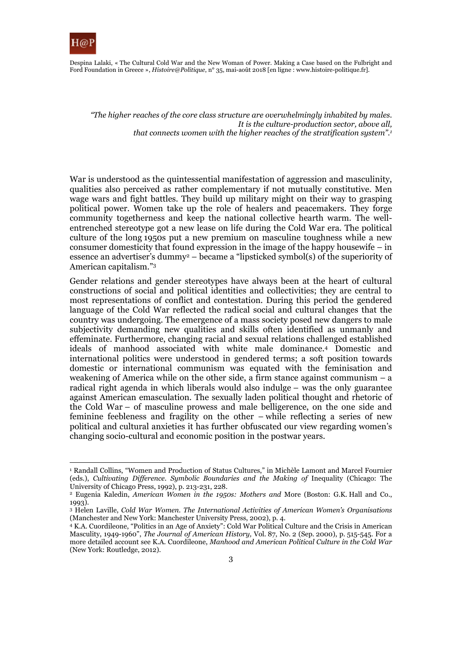

Despina Lalaki, « The Cultural Cold War and the New Woman of Power. Making a Case based on the Fulbright and Ford Foundation in Greece », *Histoire@Politique*, n° 35, mai-août 2018 [en ligne : www.histoire-politique.fr].

*"Τhe higher reaches of the core class structure are overwhelmingly inhabited by males. It is the culture-production sector, above all, that connects women with the higher reaches of the stratification system".1*

War is understood as the quintessential manifestation of aggression and masculinity, qualities also perceived as rather complementary if not mutually constitutive. Men wage wars and fight battles. They build up military might on their way to grasping political power. Women take up the role of healers and peacemakers. They forge community togetherness and keep the national collective hearth warm. The wellentrenched stereotype got a new lease on life during the Cold War era. The political culture of the long 1950s put a new premium on masculine toughness while a new consumer domesticity that found expression in the image of the happy housewife – in essence an advertiser's dummy<sup>2</sup> – became a "lipsticked symbol(s) of the superiority of American capitalism."3

Gender relations and gender stereotypes have always been at the heart of cultural constructions of social and political identities and collectivities; they are central to most representations of conflict and contestation. During this period the gendered language of the Cold War reflected the radical social and cultural changes that the country was undergoing. The emergence of a mass society posed new dangers to male subjectivity demanding new qualities and skills often identified as unmanly and effeminate. Furthermore, changing racial and sexual relations challenged established ideals of manhood associated with white male dominance.4 Domestic and international politics were understood in gendered terms; a soft position towards domestic or international communism was equated with the feminisation and weakening of America while on the other side, a firm stance against communism  $- a$ radical right agenda in which liberals would also indulge – was the only guarantee against American emasculation. The sexually laden political thought and rhetoric of the Cold War – of masculine prowess and male belligerence, on the one side and feminine feebleness and fragility on the other – while reflecting a series of new political and cultural anxieties it has further obfuscated our view regarding women's changing socio-cultural and economic position in the postwar years.

<sup>&</sup>lt;sup>1</sup> Randall Collins, "Women and Production of Status Cultures," in Michèle Lamont and Marcel Fournier (eds.), *Cultivating Difference. Symbolic Boundaries and the Making of* Inequality (Chicago: The University of Chicago Press, 1992), p. 213-231, 228. 2 Eugenia Kaledin, *American Women in the 1950s: Mothers and* More (Boston: G.K. Hall and Co.,

<sup>1993).</sup> 

<sup>3</sup> Helen Laville, *Cold War Women. The International Activities of American Women's Organisations* (Manchester and New York: Manchester University Press, 2002), p. 4.

<sup>4</sup> K.A. Cuordileone, "Politics in an Age of Anxiety": Cold War Political Culture and the Crisis in American Masculity, 1949-1960", *The Journal of American History,* Vol. 87, No. 2 (Sep. 2000), p. 515-545. For a more detailed account see K.A. Cuordileone, *Manhood and American Political Culture in the Cold War* (New York: Routledge, 2012).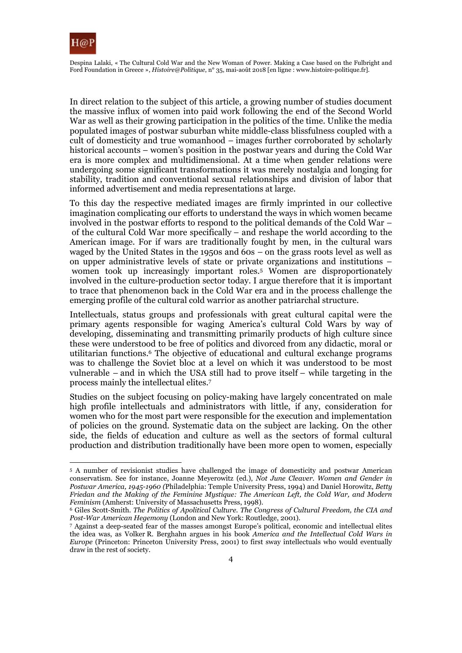

Despina Lalaki, « The Cultural Cold War and the New Woman of Power. Making a Case based on the Fulbright and Ford Foundation in Greece », *Histoire@Politique*, n° 35, mai-août 2018 [en ligne : www.histoire-politique.fr].

In direct relation to the subject of this article, a growing number of studies document the massive influx of women into paid work following the end of the Second World War as well as their growing participation in the politics of the time. Unlike the media populated images of postwar suburban white middle-class blissfulness coupled with a cult of domesticity and true womanhood – images further corroborated by scholarly historical accounts – women's position in the postwar years and during the Cold War era is more complex and multidimensional. At a time when gender relations were undergoing some significant transformations it was merely nostalgia and longing for stability, tradition and conventional sexual relationships and division of labor that informed advertisement and media representations at large.

To this day the respective mediated images are firmly imprinted in our collective imagination complicating our efforts to understand the ways in which women became involved in the postwar efforts to respond to the political demands of the Cold War – of the cultural Cold War more specifically – and reshape the world according to the American image. For if wars are traditionally fought by men, in the cultural wars waged by the United States in the 1950s and  $60s - 0$  on the grass roots level as well as on upper administrative levels of state or private organizations and institutions – women took up increasingly important roles.5 Women are disproportionately involved in the culture-production sector today. I argue therefore that it is important to trace that phenomenon back in the Cold War era and in the process challenge the emerging profile of the cultural cold warrior as another patriarchal structure.

Intellectuals, status groups and professionals with great cultural capital were the primary agents responsible for waging America's cultural Cold Wars by way of developing, disseminating and transmitting primarily products of high culture since these were understood to be free of politics and divorced from any didactic, moral or utilitarian functions.6 The objective of educational and cultural exchange programs was to challenge the Soviet bloc at a level on which it was understood to be most vulnerable – and in which the USA still had to prove itself – while targeting in the process mainly the intellectual elites.7

Studies on the subject focusing on policy-making have largely concentrated on male high profile intellectuals and administrators with little, if any, consideration for women who for the most part were responsible for the execution and implementation of policies on the ground. Systematic data on the subject are lacking. On the other side, the fields of education and culture as well as the sectors of formal cultural production and distribution traditionally have been more open to women, especially

<sup>5</sup> A number of revisionist studies have challenged the image of domesticity and postwar American conservatism. See for instance, Joanne Meyerowitz (ed.), *Not June Cleaver. Women and Gender in Postwar America, 1945-1960 (*Philadelphia: Temple University Press, 1994) and Daniel Horowitz, *Betty Friedan and the Making of the Feminine Mystique: The American Left, the Cold War, and Modern* 

*Feminism* (Amherst: University of Massachusetts Press, 1998).<br><sup>6</sup> Giles Scott-Smith. *The Politics of Apolitical Culture. The Congress of Cultural Freedom, the CIA and Post-War American Heaemony (London and New York: Rout* 

*P* Against a deep-seated fear of the masses amongst Europe's political, economic and intellectual elites the idea was, as Volker R. Berghahn argues in his book *America and the Intellectual Cold Wars in Europe* (Princeton: Princeton University Press, 2001) to first sway intellectuals who would eventually draw in the rest of society.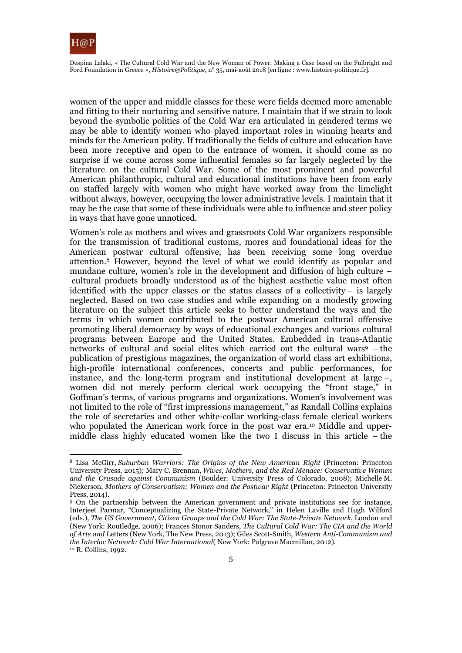

Despina Lalaki, « The Cultural Cold War and the New Woman of Power. Making a Case based on the Fulbright and Ford Foundation in Greece », *Histoire@Politique*, n° 35, mai-août 2018 [en ligne : www.histoire-politique.fr].

women of the upper and middle classes for these were fields deemed more amenable and fitting to their nurturing and sensitive nature. I maintain that if we strain to look beyond the symbolic politics of the Cold War era articulated in gendered terms we may be able to identify women who played important roles in winning hearts and minds for the American polity. If traditionally the fields of culture and education have been more receptive and open to the entrance of women, it should come as no surprise if we come across some influential females so far largely neglected by the literature on the cultural Cold War. Some of the most prominent and powerful American philanthropic, cultural and educational institutions have been from early on staffed largely with women who might have worked away from the limelight without always, however, occupying the lower administrative levels. I maintain that it may be the case that some of these individuals were able to influence and steer policy in ways that have gone unnoticed.

Women's role as mothers and wives and grassroots Cold War organizers responsible for the transmission of traditional customs, mores and foundational ideas for the American postwar cultural offensive, has been receiving some long overdue attention.8 However, beyond the level of what we could identify as popular and mundane culture, women's role in the development and diffusion of high culture – cultural products broadly understood as of the highest aesthetic value most often identified with the upper classes or the status classes of a collectivity  $-$  is largely neglected. Based on two case studies and while expanding on a modestly growing literature on the subject this article seeks to better understand the ways and the terms in which women contributed to the postwar American cultural offensive promoting liberal democracy by ways of educational exchanges and various cultural programs between Europe and the United States. Embedded in trans-Atlantic networks of cultural and social elites which carried out the cultural wars $9$  – the publication of prestigious magazines, the organization of world class art exhibitions, high-profile international conferences, concerts and public performances, for instance, and the long-term program and institutional development at large –, women did not merely perform clerical work occupying the "front stage," in Goffman's terms, of various programs and organizations. Women's involvement was not limited to the role of "first impressions management," as Randall Collins explains the role of secretaries and other white-collar working-class female clerical workers who populated the American work force in the post war era.<sup>10</sup> Middle and uppermiddle class highly educated women like the two I discuss in this article – the

<sup>8</sup> Lisa McGirr, *Suburban Warriors: The Origins of the New American Right* (Princeton: Princeton University Press, 2015); Mary C. Brennan, *Wives, Mothers, and the Red Menace: Conservative Women and the Crusade against Communism* (Boulder: University Press of Colorado, 2008); Michelle M. Nickerson, *Mothers of Conservatism: Women and the Postwar Right* (Princeton: Princeton University Press, 2014).

<sup>9</sup> On the partnership between the American government and private institutions see for instance, Interjeet Parmar, "Conceptualizing the State-Private Network," in Helen Laville and Hugh Wilford (eds.), *The US Government, Citizen Groups and the Cold War: The State-Private Network*, London and (New York: Routledge, 2006); Frances Stonor Sanders, *The Cultural Cold War: The CIA and the World of Arts and* Letters (New York, The New Press, 2013); Giles Scott-Smith, *Western Anti-Communism and the Interloc Network: Cold War International* (New York: Palgrave Macmillan, 2012).<br><sup>10</sup> R. Collins, 1992.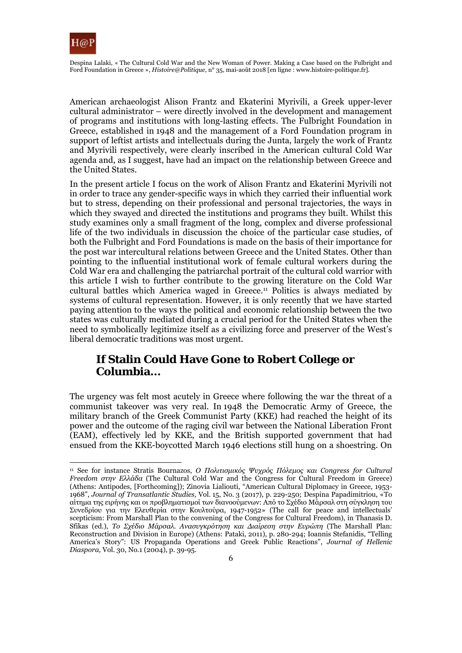

Despina Lalaki, « The Cultural Cold War and the New Woman of Power. Making a Case based on the Fulbright and Ford Foundation in Greece », *Histoire@Politique*, n° 35, mai-août 2018 [en ligne : www.histoire-politique.fr].

American archaeologist Alison Frantz and Ekaterini Myrivili, a Greek upper-lever cultural administrator – were directly involved in the development and management of programs and institutions with long-lasting effects. The Fulbright Foundation in Greece, established in 1948 and the management of a Ford Foundation program in support of leftist artists and intellectuals during the Junta, largely the work of Frantz and Myrivili respectively, were clearly inscribed in the American cultural Cold War agenda and, as I suggest, have had an impact on the relationship between Greece and the United States.

In the present article I focus on the work of Alison Frantz and Ekaterini Myrivili not in order to trace any gender-specific ways in which they carried their influential work but to stress, depending on their professional and personal trajectories, the ways in which they swayed and directed the institutions and programs they built. Whilst this study examines only a small fragment of the long, complex and diverse professional life of the two individuals in discussion the choice of the particular case studies, of both the Fulbright and Ford Foundations is made on the basis of their importance for the post war intercultural relations between Greece and the United States. Other than pointing to the influential institutional work of female cultural workers during the Cold War era and challenging the patriarchal portrait of the cultural cold warrior with this article I wish to further contribute to the growing literature on the Cold War cultural battles which America waged in Greece.11 Politics is always mediated by systems of cultural representation. However, it is only recently that we have started paying attention to the ways the political and economic relationship between the two states was culturally mediated during a crucial period for the United States when the need to symbolically legitimize itself as a civilizing force and preserver of the West's liberal democratic traditions was most urgent.

# **If Stalin Could Have Gone to Robert College or Columbia…**

The urgency was felt most acutely in Greece where following the war the threat of a communist takeover was very real. In 1948 the Democratic Army of Greece, the military branch of the Greek Communist Party (KKE) had reached the height of its power and the outcome of the raging civil war between the National Liberation Front (EAM), effectively led by KKE, and the British supported government that had ensued from the KKE-boycotted March 1946 elections still hung on a shoestring. On

<sup>11</sup> See for instance Stratis Bournazos, *Ο Πολιτισμικός Ψυχρός Πόλεμος και Congress for Cultural Freedom στην Ελλάδα* (The Cultural Cold War and the Congress for Cultural Freedom in Greece) (Athens: Antipodes, [Forthcoming]); Zinovia Lialiouti, "American Cultural Diplomacy in Greece, 1953- 1968", *Journal of Transatlantic Studies,* Vol. 15, No. 3 (2017), p. 229-250; Despina Papadimitriou, «Το αίτημα της ειρήνης και οι προβληματισμοί των διανοούμενων: Από το Σχέδιο Μάρσαλ στη σύγκληση του Συνεδρίου για την Ελευθερία στην Κουλτούρα, 1947-1952» (The call for peace and intellectuals' scepticism: From Marshall Plan to the convening of the Congress for Cultural Freedom), in Thanasis D. Sfikas (ed.), *Το Σχέδιο Μάρσαλ. Ανασυγκρότηση και Διαίρεση στην Ευρώπη* (The Marshall Plan: Reconstruction and Division in Europe) (Athens: Pataki, 2011), p. 280-294; Ioannis Stefanidis, "Telling America's Story": US Propaganda Operations and Greek Public Reactions", *Journal of Hellenic Diaspora,* Vol. 30, No.1 (2004), p. 39-95.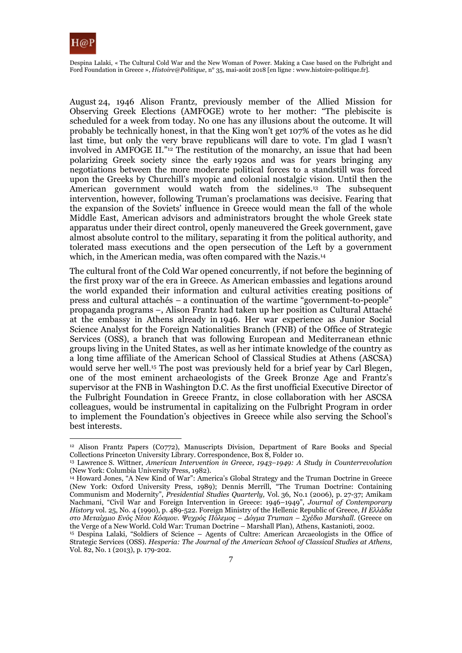

Despina Lalaki, « The Cultural Cold War and the New Woman of Power. Making a Case based on the Fulbright and Ford Foundation in Greece », *Histoire@Politique*, n° 35, mai-août 2018 [en ligne : www.histoire-politique.fr].

August 24, 1946 Alison Frantz, previously member of the Allied Mission for Observing Greek Elections (AMFOGE) wrote to her mother: "The plebiscite is scheduled for a week from today. No one has any illusions about the outcome. It will probably be technically honest, in that the King won't get 107% of the votes as he did last time, but only the very brave republicans will dare to vote. I'm glad I wasn't involved in AMFOGE II."12 The restitution of the monarchy, an issue that had been polarizing Greek society since the early 1920s and was for years bringing any negotiations between the more moderate political forces to a standstill was forced upon the Greeks by Churchill's myopic and colonial nostalgic vision. Until then the American government would watch from the sidelines.<sup>13</sup> The subsequent intervention, however, following Truman's proclamations was decisive. Fearing that the expansion of the Soviets' influence in Greece would mean the fall of the whole Middle East, American advisors and administrators brought the whole Greek state apparatus under their direct control, openly maneuvered the Greek government, gave almost absolute control to the military, separating it from the political authority, and tolerated mass executions and the open persecution of the Left by a government which, in the American media, was often compared with the Nazis.<sup>14</sup>

The cultural front of the Cold War opened concurrently, if not before the beginning of the first proxy war of the era in Greece. As American embassies and legations around the world expanded their information and cultural activities creating positions of press and cultural attachés – a continuation of the wartime "government-to-people" propaganda programs –, Alison Frantz had taken up her position as Cultural Attaché at the embassy in Athens already in 1946. Her war experience as Junior Social Science Analyst for the Foreign Nationalities Branch (FNB) of the Office of Strategic Services (OSS), a branch that was following European and Mediterranean ethnic groups living in the United States, as well as her intimate knowledge of the country as a long time affiliate of the American School of Classical Studies at Athens (ASCSA) would serve her well.15 The post was previously held for a brief year by Carl Blegen, one of the most eminent archaeologists of the Greek Bronze Age and Frantz's supervisor at the FNB in Washington D.C. As the first unofficial Executive Director of the Fulbright Foundation in Greece Frantz, in close collaboration with her ASCSA colleagues, would be instrumental in capitalizing on the Fulbright Program in order to implement the Foundation's objectives in Greece while also serving the School's best interests.

<sup>12</sup> Alison Frantz Papers (C0772), Manuscripts Division, Department of Rare Books and Special Collections Princeton University Library. Correspondence, Box 8, Folder 10.

<sup>13</sup> Lawrence S. Wittner, *American Intervention in Greece, 1943–1949: A Study in Counterrevolution* (New York: Columbia University Press, 1982).

<sup>14</sup> Howard Jones, "A New Kind of War": America's Global Strategy and the Truman Doctrine in Greece (New York: Oxford University Press, 1989); Dennis Merrill, "The Truman Doctrine: Containing Communism and Modernity", *Presidential Studies Quarterly,* Vol. 36, No.1 (2006), p. 27-37; Amikam Nachmani, "Civil War and Foreign Intervention in Greece: 1946–1949", *Journal of Contemporary History* vol. 25, No. 4 (1990), p. 489-522. Foreign Ministry of the Hellenic Republic of Greece, *Η Ελλάδα στο Μεταίχμιο Ενός Νέου Κόσμου. Ψυχρός Πόλεμος – Δόγμα Truman – Σχέδιο Marshall.* (Greece on

the Verge of a New World. Cold War: Truman Doctrine – Marshall Plan), Athens, Kastanioti, 2002.<br><sup>15</sup> Despina Lalaki, "Soldiers of Science – Agents of Cultre: American Arcaeologists in the Office of Strategic Services (OSS). *Hesperia: The Journal of the American School of Classical Studies at Athens,*  Vol. 82, No. 1 (2013), p. 179-202.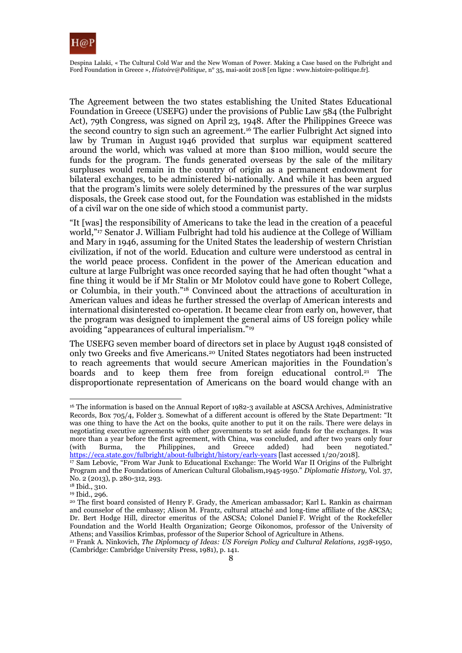

The Agreement between the two states establishing the United States Educational Foundation in Greece (USEFG) under the provisions of Public Law 584 (the Fulbright Act), 79th Congress, was signed on April 23, 1948. After the Philippines Greece was the second country to sign such an agreement.16 The earlier Fulbright Act signed into law by Truman in August 1946 provided that surplus war equipment scattered around the world, which was valued at more than \$100 million, would secure the funds for the program. The funds generated overseas by the sale of the military surpluses would remain in the country of origin as a permanent endowment for bilateral exchanges, to be administered bi-nationally. And while it has been argued that the program's limits were solely determined by the pressures of the war surplus disposals, the Greek case stood out, for the Foundation was established in the midsts of a civil war on the one side of which stood a communist party.

"It [was] the responsibility of Americans to take the lead in the creation of a peaceful world,"<sup>17</sup> Senator J. William Fulbright had told his audience at the College of William and Mary in 1946, assuming for the United States the leadership of western Christian civilization, if not of the world. Education and culture were understood as central in the world peace process. Confident in the power of the American education and culture at large Fulbright was once recorded saying that he had often thought "what a fine thing it would be if Mr Stalin or Mr Molotov could have gone to Robert College, or Columbia, in their youth."18 Convinced about the attractions of acculturation in American values and ideas he further stressed the overlap of American interests and international disinterested co-operation. It became clear from early on, however, that the program was designed to implement the general aims of US foreign policy while avoiding "appearances of cultural imperialism."19

The USEFG seven member board of directors set in place by August 1948 consisted of only two Greeks and five Americans.20 United States negotiators had been instructed to reach agreements that would secure American majorities in the Foundation's boards and to keep them free from foreign educational control.<sup>21</sup> The disproportionate representation of Americans on the board would change with an

<sup>&</sup>lt;sup>16</sup> The information is based on the Annual Report of 1982-3 available at ASCSA Archives, Administrative Records, Box 705/4, Folder 3. Somewhat of a different account is offered by the State Department: "It was one thing to have the Act on the books, quite another to put it on the rails. There were delays in negotiating executive agreements with other governments to set aside funds for the exchanges. It was more than a year before the first agreement, with China, was concluded, and after two years only four (with Burma, the Philippines, and Greece added) had been negotiated." (with Burma, the Philippines, and Greece added) had been negotiated."<br>https://eca.state.gov/fulbright/about-fulbright/history/early-years[last accessed 1/20/2018].

<sup>&</sup>lt;sup>17</sup> Sam Lebovic, "From War Junk to Educational Exchange: The World War II Origins of the Fulbright Program and the Foundations of American Cultural Globalism,1945-1950." *Diplomatic History,* Vol. 37, No. 2 (2013), p. 280-312, 293.

<sup>18</sup> Ibid., 310.

<sup>19</sup> Ibid., 296.

<sup>20</sup> The first board consisted of Henry F. Grady, the American ambassador; Karl L. Rankin as chairman and counselor of the embassy; Alison M. Frantz, cultural attaché and long-time affiliate of the ASCSA; Dr. Bert Hodge Hill, director emeritus of the ASCSA; Colonel Daniel F. Wright of the Rockefeller Foundation and the World Health Organization; George Oikonomos, professor of the University of

<sup>&</sup>lt;sup>21</sup> Frank A. Ninkovich, *The Diplomacu of Ideas: US Foreign Policu and Cultural Relations, 1938-1950,* (Cambridge: Cambridge University Press, 1981), p. 141.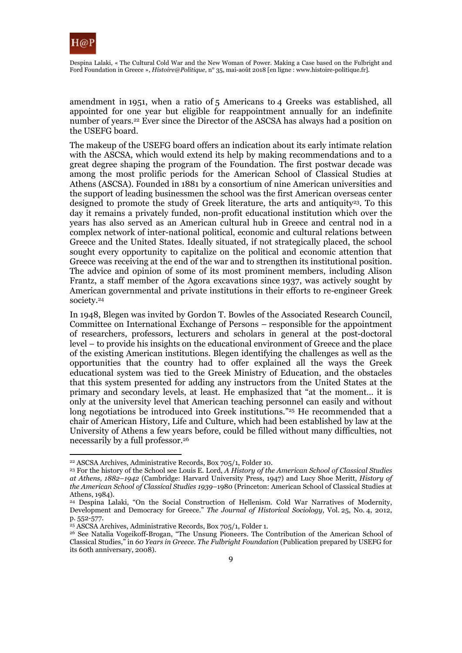

Despina Lalaki, « The Cultural Cold War and the New Woman of Power. Making a Case based on the Fulbright and Ford Foundation in Greece », *Histoire@Politique*, n° 35, mai-août 2018 [en ligne : www.histoire-politique.fr].

amendment in 1951, when a ratio of 5 Americans to 4 Greeks was established, all appointed for one year but eligible for reappointment annually for an indefinite number of years.<sup>22</sup> Ever since the Director of the ASCSA has always had a position on the USEFG board.

The makeup of the USEFG board offers an indication about its early intimate relation with the ASCSA, which would extend its help by making recommendations and to a great degree shaping the program of the Foundation. The first postwar decade was among the most prolific periods for the American School of Classical Studies at Athens (ASCSA). Founded in 1881 by a consortium of nine American universities and the support of leading businessmen the school was the first American overseas center designed to promote the study of Greek literature, the arts and antiquity<sup>23</sup>. To this day it remains a privately funded, non-profit educational institution which over the years has also served as an American cultural hub in Greece and central nod in a complex network of inter-national political, economic and cultural relations between Greece and the United States. Ideally situated, if not strategically placed, the school sought every opportunity to capitalize on the political and economic attention that Greece was receiving at the end of the war and to strengthen its institutional position. The advice and opinion of some of its most prominent members, including Alison Frantz, a staff member of the Agora excavations since 1937, was actively sought by American governmental and private institutions in their efforts to re-engineer Greek society.24

In 1948, Blegen was invited by Gordon T. Bowles of the Associated Research Council, Committee on International Exchange of Persons – responsible for the appointment of researchers, professors, lecturers and scholars in general at the post-doctoral level – to provide his insights on the educational environment of Greece and the place of the existing American institutions. Blegen identifying the challenges as well as the opportunities that the country had to offer explained all the ways the Greek educational system was tied to the Greek Ministry of Education, and the obstacles that this system presented for adding any instructors from the United States at the primary and secondary levels, at least. He emphasized that "at the moment… it is only at the university level that American teaching personnel can easily and without long negotiations be introduced into Greek institutions."<sup>25</sup> He recommended that a chair of American History, Life and Culture, which had been established by law at the University of Athens a few years before, could be filled without many difficulties, not necessarily by a full professor.26

<sup>22</sup> ASCSA Archives, Administrative Records, Box 705/1, Folder 10.

<sup>23</sup> For the history of the School see Louis E. Lord, *A History of the American School of Classical Studies at Athens, 1882–1942* (Cambridge: Harvard University Press, 1947) and Lucy Shoe Meritt, *History of the American School of Classical Studies 1939–*1980 (Princeton: American School of Classical Studies at Athens, 1984).

<sup>24</sup> Despina Lalaki, "On the Social Construction of Hellenism. Cold War Narratives of Modernity, Development and Democracy for Greece." *The Journal of Historical Sociology*, Vol. 25, No. 4, 2012, p. 552-577.

<sup>&</sup>lt;sup>25</sup> ASCSA Archives, Administrative Records, Box 705/1, Folder 1.

<sup>26</sup> See Natalia Vogeikoff-Brogan, "The Unsung Pioneers. The Contribution of the American School of Classical Studies," in *60 Years in Greece. The Fulbright Foundation* (Publication prepared by USEFG for its 60th anniversary, 2008).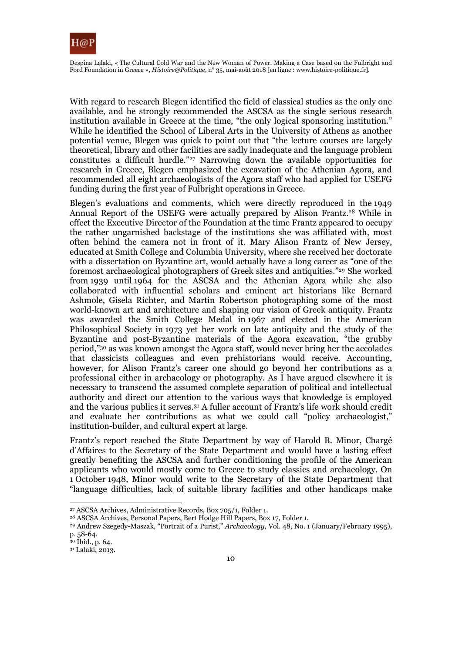

With regard to research Blegen identified the field of classical studies as the only one available, and he strongly recommended the ASCSA as the single serious research institution available in Greece at the time, "the only logical sponsoring institution." While he identified the School of Liberal Arts in the University of Athens as another potential venue, Blegen was quick to point out that "the lecture courses are largely theoretical, library and other facilities are sadly inadequate and the language problem constitutes a difficult hurdle."27 Narrowing down the available opportunities for research in Greece, Blegen emphasized the excavation of the Athenian Agora, and recommended all eight archaeologists of the Agora staff who had applied for USEFG funding during the first year of Fulbright operations in Greece.

Blegen's evaluations and comments, which were directly reproduced in the 1949 Annual Report of the USEFG were actually prepared by Alison Frantz.28 While in effect the Executive Director of the Foundation at the time Frantz appeared to occupy the rather ungarnished backstage of the institutions she was affiliated with, most often behind the camera not in front of it. Mary Alison Frantz of New Jersey, educated at Smith College and Columbia University, where she received her doctorate with a dissertation on Byzantine art, would actually have a long career as "one of the foremost archaeological photographers of Greek sites and antiquities."29 She worked from 1939 until 1964 for the ASCSA and the Athenian Agora while she also collaborated with influential scholars and eminent art historians like Bernard Ashmole, Gisela Richter, and Martin Robertson photographing some of the most world-known art and architecture and shaping our vision of Greek antiquity. Frantz was awarded the Smith College Medal in 1967 and elected in the American Philosophical Society in 1973 yet her work on late antiquity and the study of the Byzantine and post-Byzantine materials of the Agora excavation, "the grubby period,"30 as was known amongst the Agora staff, would never bring her the accolades that classicists colleagues and even prehistorians would receive. Accounting, however, for Alison Frantz's career one should go beyond her contributions as a professional either in archaeology or photography. As I have argued elsewhere it is necessary to transcend the assumed complete separation of political and intellectual authority and direct our attention to the various ways that knowledge is employed and the various publics it serves.31 A fuller account of Frantz's life work should credit and evaluate her contributions as what we could call "policy archaeologist," institution-builder, and cultural expert at large.

Frantz's report reached the State Department by way of Harold B. Minor, Chargé d'Affaires to the Secretary of the State Department and would have a lasting effect greatly benefiting the ASCSA and further conditioning the profile of the American applicants who would mostly come to Greece to study classics and archaeology. On 1 October 1948, Minor would write to the Secretary of the State Department that "language difficulties, lack of suitable library facilities and other handicaps make

<sup>27</sup> ASCSA Archives, Administrative Records, Box 705/1, Folder 1.

<sup>28</sup> ASCSA Archives, Personal Papers, Bert Hodge Hill Papers, Box 17, Folder 1.

<sup>29</sup> Andrew Szegedy-Maszak, "Portrait of a Purist," *Archaeology,* Vol. 48, No. 1 (January/February 1995), p. 58-64.

<sup>30</sup> Ibid., p. 64.

<sup>31</sup> Lalaki, 2013.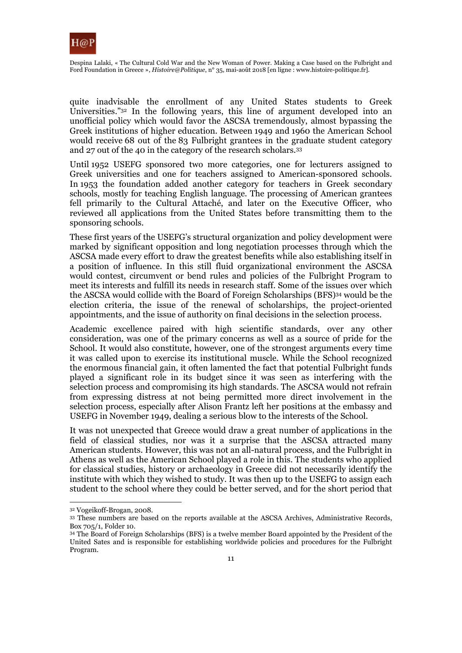

quite inadvisable the enrollment of any United States students to Greek Universities."32 In the following years, this line of argument developed into an unofficial policy which would favor the ASCSA tremendously, almost bypassing the Greek institutions of higher education. Between 1949 and 1960 the American School would receive 68 out of the 83 Fulbright grantees in the graduate student category and 27 out of the 40 in the category of the research scholars.33

Until 1952 USEFG sponsored two more categories, one for lecturers assigned to Greek universities and one for teachers assigned to American-sponsored schools. In 1953 the foundation added another category for teachers in Greek secondary schools, mostly for teaching English language. The processing of American grantees fell primarily to the Cultural Attaché, and later on the Executive Officer, who reviewed all applications from the United States before transmitting them to the sponsoring schools.

These first years of the USEFG's structural organization and policy development were marked by significant opposition and long negotiation processes through which the ASCSA made every effort to draw the greatest benefits while also establishing itself in a position of influence. In this still fluid organizational environment the ASCSA would contest, circumvent or bend rules and policies of the Fulbright Program to meet its interests and fulfill its needs in research staff. Some of the issues over which the ASCSA would collide with the Board of Foreign Scholarships (BFS)34 would be the election criteria, the issue of the renewal of scholarships, the project-oriented appointments, and the issue of authority on final decisions in the selection process.

Academic excellence paired with high scientific standards, over any other consideration, was one of the primary concerns as well as a source of pride for the School. It would also constitute, however, one of the strongest arguments every time it was called upon to exercise its institutional muscle. While the School recognized the enormous financial gain, it often lamented the fact that potential Fulbright funds played a significant role in its budget since it was seen as interfering with the selection process and compromising its high standards. The ASCSA would not refrain from expressing distress at not being permitted more direct involvement in the selection process, especially after Alison Frantz left her positions at the embassy and USEFG in November 1949, dealing a serious blow to the interests of the School.

It was not unexpected that Greece would draw a great number of applications in the field of classical studies, nor was it a surprise that the ASCSA attracted many American students. However, this was not an all-natural process, and the Fulbright in Athens as well as the American School played a role in this. The students who applied for classical studies, history or archaeology in Greece did not necessarily identify the institute with which they wished to study. It was then up to the USEFG to assign each student to the school where they could be better served, and for the short period that

<sup>32</sup> Vogeikoff-Brogan, 2008.

<sup>33</sup> These numbers are based on the reports available at the ASCSA Archives, Administrative Records, Box 705/1, Folder 10.

<sup>34</sup> The Board of Foreign Scholarships (BFS) is a twelve member Board appointed by the President of the United Sates and is responsible for establishing worldwide policies and procedures for the Fulbright Program.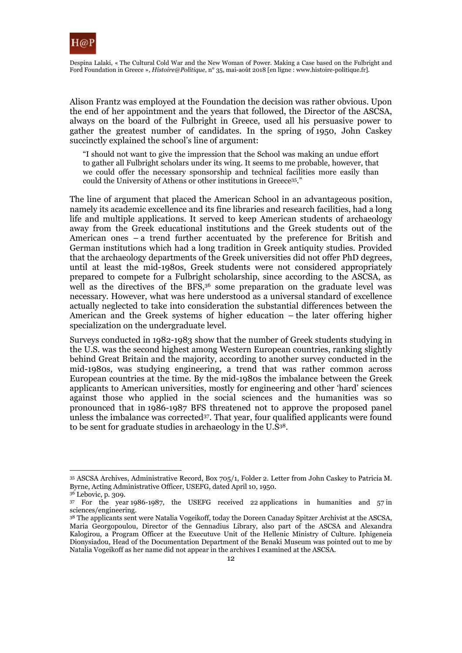

Alison Frantz was employed at the Foundation the decision was rather obvious. Upon the end of her appointment and the years that followed, the Director of the ASCSA, always on the board of the Fulbright in Greece, used all his persuasive power to gather the greatest number of candidates. In the spring of 1950, John Caskey succinctly explained the school's line of argument:

"I should not want to give the impression that the School was making an undue effort to gather all Fulbright scholars under its wing. It seems to me probable, however, that we could offer the necessary sponsorship and technical facilities more easily than could the University of Athens or other institutions in Greece35."

The line of argument that placed the American School in an advantageous position, namely its academic excellence and its fine libraries and research facilities, had a long life and multiple applications. It served to keep American students of archaeology away from the Greek educational institutions and the Greek students out of the American ones – a trend further accentuated by the preference for British and German institutions which had a long tradition in Greek antiquity studies. Provided that the archaeology departments of the Greek universities did not offer PhD degrees, until at least the mid-1980s, Greek students were not considered appropriately prepared to compete for a Fulbright scholarship, since according to the ASCSA, as well as the directives of the BFS,<sup>36</sup> some preparation on the graduate level was necessary. However, what was here understood as a universal standard of excellence actually neglected to take into consideration the substantial differences between the American and the Greek systems of higher education – the later offering higher specialization on the undergraduate level.

Surveys conducted in 1982-1983 show that the number of Greek students studying in the U.S. was the second highest among Western European countries, ranking slightly behind Great Britain and the majority, according to another survey conducted in the mid-1980s, was studying engineering, a trend that was rather common across European countries at the time. By the mid-1980s the imbalance between the Greek applicants to American universities, mostly for engineering and other 'hard' sciences against those who applied in the social sciences and the humanities was so pronounced that in 1986-1987 BFS threatened not to approve the proposed panel unless the imbalance was corrected37. That year, four qualified applicants were found to be sent for graduate studies in archaeology in the U.S38.

<sup>35</sup> ASCSA Archives, Administrative Record, Box 705/1, Folder 2. Letter from John Caskey to Patricia M. Byrne, Acting Administrative Officer, USEFG, dated April 10, 1950.

<sup>36</sup> Lebovic, p. 309.

<sup>37</sup> For the year 1986-1987, the USEFG received 22 applications in humanities and 57 in sciences/engineering.

<sup>&</sup>lt;sup>38</sup> The applicants sent were Natalia Vogeikoff, today the Doreen Canaday Spitzer Archivist at the ASCSA, Maria Georgopoulou, Director of the Gennadius Library, also part of the ASCSA and Alexandra Kalogirou, a Program Officer at the Executuve Unit of the Hellenic Ministry of Culture. Iphigeneia Dionysiadou, Head of the Documentation Department of the Benaki Museum was pointed out to me by Natalia Vogeikoff as her name did not appear in the archives I examined at the ASCSA.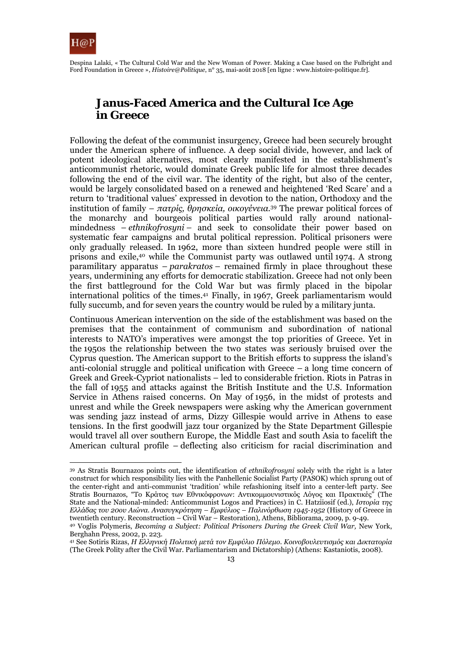

Despina Lalaki, « The Cultural Cold War and the New Woman of Power. Making a Case based on the Fulbright and Ford Foundation in Greece », *Histoire@Politique*, n° 35, mai-août 2018 [en ligne : www.histoire-politique.fr].

# **Janus-Faced America and the Cultural Ice Age in Greece**

Following the defeat of the communist insurgency, Greece had been securely brought under the American sphere of influence. A deep social divide, however, and lack of potent ideological alternatives, most clearly manifested in the establishment's anticommunist rhetoric, would dominate Greek public life for almost three decades following the end of the civil war. The identity of the right, but also of the center, would be largely consolidated based on a renewed and heightened 'Red Scare' and a return to 'traditional values' expressed in devotion to the nation, Orthodoxy and the institution of family – *πατρίς, θρησκεία, οικογένεια.*39 The prewar political forces of the monarchy and bourgeois political parties would rally around nationalmindedness – *ethnikofrosyni –* and seek to consolidate their power based on systematic fear campaigns and brutal political repression. Political prisoners were only gradually released. In 1962, more than sixteen hundred people were still in prisons and exile,40 while the Communist party was outlawed until 1974. A strong paramilitary apparatus – *parakratos –* remained firmly in place throughout these years, undermining any efforts for democratic stabilization. Greece had not only been the first battleground for the Cold War but was firmly placed in the bipolar international politics of the times.41 Finally, in 1967, Greek parliamentarism would fully succumb, and for seven years the country would be ruled by a military junta.

Continuous American intervention on the side of the establishment was based on the premises that the containment of communism and subordination of national interests to NATO's imperatives were amongst the top priorities of Greece. Yet in the 1950s the relationship between the two states was seriously bruised over the Cyprus question. The American support to the British efforts to suppress the island's anti-colonial struggle and political unification with Greece – a long time concern of Greek and Greek-Cypriot nationalists – led to considerable friction. Riots in Patras in the fall of 1955 and attacks against the British Institute and the U.S. Information Service in Athens raised concerns. On May of 1956, in the midst of protests and unrest and while the Greek newspapers were asking why the American government was sending jazz instead of arms, Dizzy Gillespie would arrive in Athens to ease tensions. In the first goodwill jazz tour organized by the State Department Gillespie would travel all over southern Europe, the Middle East and south Asia to facelift the American cultural profile – deflecting also criticism for racial discrimination and

<sup>39</sup> As Stratis Bournazos points out, the identification of *ethnikofrosyni* solely with the right is a later construct for which responsibility lies with the Panhellenic Socialist Party (PASOK) which sprung out of the center-right and anti-communist 'tradition' while refashioning itself into a center-left party. See Stratis Bournazos, "Το Κράτος των Εθνικόφρονων: Αντικομμουνιστικός Λόγος και Πρακτικές" (The State and the National-minded: Anticommunist Logos and Practices) in C. Hatziiosif (ed.), *Ιστορία της Ελλάδας του 20ου Αιώνα. Ανασυγκρότηση – Εμφύλιος – Παλινόρθωση 1945-1952* (History of Greece in

<sup>&</sup>lt;sup>40</sup> Voglis Polymeris, Becoming a Subject: Political Prisoners During the Greek Civil War, New York, Berghahn Press, 2002, p. 223.

<sup>41</sup> See Sotiris Rizas, *Η Ελληνική Πολιτική μετά τον Εμφύλιο Πόλεμο. Κοινοβουλευτισμός και Δικτατορία* (The Greek Polity after the Civil War. Parliamentarism and Dictatorship) (Athens: Kastaniotis, 2008).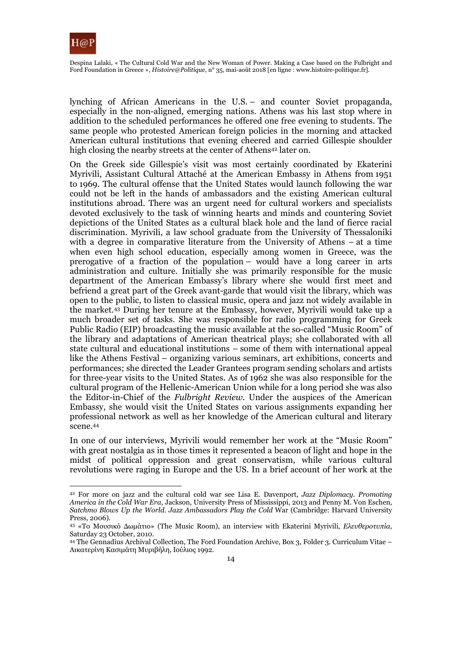

lynching of African Americans in the U.S. – and counter Soviet propaganda, especially in the non-aligned, emerging nations. Athens was his last stop where in addition to the scheduled performances he offered one free evening to students. The same people who protested American foreign policies in the morning and attacked American cultural institutions that evening cheered and carried Gillespie shoulder high closing the nearby streets at the center of Athens<sup>42</sup> later on.

On the Greek side Gillespie's visit was most certainly coordinated by Ekaterini Myrivili, Assistant Cultural Attaché at the American Embassy in Athens from 1951 to 1969. The cultural offense that the United States would launch following the war could not be left in the hands of ambassadors and the existing American cultural institutions abroad. There was an urgent need for cultural workers and specialists devoted exclusively to the task of winning hearts and minds and countering Soviet depictions of the United States as a cultural black hole and the land of fierce racial discrimination. Myrivili, a law school graduate from the University of Thessaloniki with a degree in comparative literature from the University of Athens – at a time when even high school education, especially among women in Greece, was the prerogative of a fraction of the population – would have a long career in arts administration and culture. Initially she was primarily responsible for the music department of the American Embassy's library where she would first meet and befriend a great part of the Greek avant-garde that would visit the library, which was open to the public, to listen to classical music, opera and jazz not widely available in the market.43 During her tenure at the Embassy, however, Myrivili would take up a much broader set of tasks. She was responsible for radio programming for Greek Public Radio (ΕΙΡ) broadcasting the music available at the so-called "Music Room" of the library and adaptations of American theatrical plays; she collaborated with all state cultural and educational institutions – some of them with international appeal like the Athens Festival – organizing various seminars, art exhibitions, concerts and performances; she directed the Leader Grantees program sending scholars and artists for three-year visits to the United States. As of 1962 she was also responsible for the cultural program of the Hellenic-American Union while for a long period she was also the Editor-in-Chief of the *Fulbright Review*. Under the auspices of the American Embassy, she would visit the United States on various assignments expanding her professional network as well as her knowledge of the American cultural and literary scene.44

In one of our interviews, Myrivili would remember her work at the "Music Room" with great nostalgia as in those times it represented a beacon of light and hope in the midst of political oppression and great conservatism, while various cultural revolutions were raging in Europe and the US. In a brief account of her work at the

 $\overline{a}$ 42 For more on jazz and the cultural cold war see Lisa E. Davenport, *Jazz Diplomacy. Promoting America in the Cold War Era*, Jackson, University Press of Mississippi, 2013 and Penny M. Von Eschen, *Satchmo Blows Up the World. Jazz Ambassadors Play the Cold* War (Cambridge: Harvard University Press, 2006).

<sup>43 «</sup>Το Μουσικό Δωμάτιο» (The Music Room), an interview with Ekaterini Myrivili, *Ελευθεροτυπία,*  Saturday 23 October, 2010.

<sup>44</sup> The Gennadius Archival Collection, The Ford Foundation Archive, Box 3, Folder 3. Curriculum Vitae – Αικατερίνη Κασιμάτη Μυριβήλη, Ιούλιος 1992.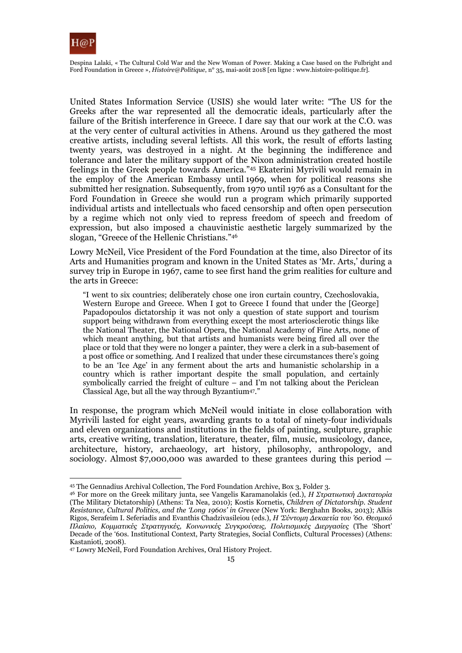

Despina Lalaki, « The Cultural Cold War and the New Woman of Power. Making a Case based on the Fulbright and Ford Foundation in Greece », *Histoire@Politique*, n° 35, mai-août 2018 [en ligne : www.histoire-politique.fr].

United States Information Service (USIS) she would later write: "The US for the Greeks after the war represented all the democratic ideals, particularly after the failure of the British interference in Greece. I dare say that our work at the C.O. was at the very center of cultural activities in Athens. Around us they gathered the most creative artists, including several leftists. All this work, the result of efforts lasting twenty years, was destroyed in a night. At the beginning the indifference and tolerance and later the military support of the Nixon administration created hostile feelings in the Greek people towards America."45 Ekaterini Myrivili would remain in the employ of the American Embassy until 1969, when for political reasons she submitted her resignation. Subsequently, from 1970 until 1976 as a Consultant for the Ford Foundation in Greece she would run a program which primarily supported individual artists and intellectuals who faced censorship and often open persecution by a regime which not only vied to repress freedom of speech and freedom of expression, but also imposed a chauvinistic aesthetic largely summarized by the slogan, "Greece of the Hellenic Christians."46

Lowry McNeil, Vice President of the Ford Foundation at the time, also Director of its Arts and Humanities program and known in the United States as 'Mr. Arts,' during a survey trip in Europe in 1967, came to see first hand the grim realities for culture and the arts in Greece:

"I went to six countries; deliberately chose one iron curtain country, Czechoslovakia, Western Europe and Greece. When I got to Greece I found that under the [George] Papadopoulos dictatorship it was not only a question of state support and tourism support being withdrawn from everything except the most arteriosclerotic things like the National Theater, the National Opera, the National Academy of Fine Arts, none of which meant anything, but that artists and humanists were being fired all over the place or told that they were no longer a painter, they were a clerk in a sub-basement of a post office or something. And I realized that under these circumstances there's going to be an 'Ice Age' in any ferment about the arts and humanistic scholarship in a country which is rather important despite the small population, and certainly symbolically carried the freight of culture – and I'm not talking about the Periclean Classical Age, but all the way through Byzantium47."

In response, the program which McNeil would initiate in close collaboration with Myrivili lasted for eight years, awarding grants to a total of ninety-four individuals and eleven organizations and institutions in the fields of painting, sculpture, graphic arts, creative writing, translation, literature, theater, film, music, musicology, dance, architecture, history, archaeology, art history, philosophy, anthropology, and sociology. Almost \$7,000,000 was awarded to these grantees during this period —

<sup>45</sup> The Gennadius Archival Collection, The Ford Foundation Archive, Box 3, Folder 3.

<sup>46</sup> For more on the Greek military junta, see Vangelis Karamanolakis (ed.), *Η Στρατιωτική Δικτατορία* (The Military Dictatorship) (Athens: Ta Nea, 2010); Kostis Kornetis, *Children of Dictatorship. Student Resistance, Cultural Politics, and the 'Long 1960s' in Greece* (New York: Berghahn Books, 2013); Alkis Rigos, Serafeim I. Seferiadis and Evanthis Chadzivasileiou (eds.), *Η 'Σύντομη Δεκαετία του '60. Θεσμικό Πλαίσιο, Κομματικές Στρατηγικές, Κοινωνικές Συγκρούσεις, Πολιτισμικές Διεργασίες* (The 'Short' Decade of the '60s. Institutional Context, Party Strategies, Social Conflicts, Cultural Processes) (Athens: Kastanioti, 2008).

<sup>47</sup> Lowry McNeil, Ford Foundation Archives, Oral History Project.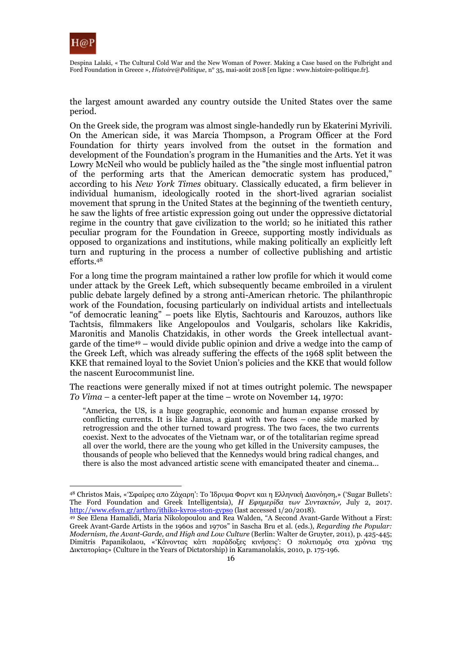

Despina Lalaki, « The Cultural Cold War and the New Woman of Power. Making a Case based on the Fulbright and Ford Foundation in Greece », *Histoire@Politique*, n° 35, mai-août 2018 [en ligne : www.histoire-politique.fr].

the largest amount awarded any country outside the United States over the same period.

On the Greek side, the program was almost single-handedly run by Ekaterini Myrivili. On the American side, it was Marcia Thompson, a Program Officer at the Ford Foundation for thirty years involved from the outset in the formation and development of the Foundation's program in the Humanities and the Arts. Yet it was Lowry McNeil who would be publicly hailed as the "the single most influential patron of the performing arts that the American democratic system has produced," according to his *New York Times* obituary. Classically educated, a firm believer in individual humanism, ideologically rooted in the short-lived agrarian socialist movement that sprung in the United States at the beginning of the twentieth century, he saw the lights of free artistic expression going out under the oppressive dictatorial regime in the country that gave civilization to the world; so he initiated this rather peculiar program for the Foundation in Greece, supporting mostly individuals as opposed to organizations and institutions, while making politically an explicitly left turn and rupturing in the process a number of collective publishing and artistic efforts.48

For a long time the program maintained a rather low profile for which it would come under attack by the Greek Left, which subsequently became embroiled in a virulent public debate largely defined by a strong anti-American rhetoric. The philanthropic work of the Foundation, focusing particularly on individual artists and intellectuals "of democratic leaning" – poets like Elytis, Sachtouris and Karouzos, authors like Tachtsis, filmmakers like Angelopoulos and Voulgaris, scholars like Kakridis, Maronitis and Manolis Chatzidakis, in other words the Greek intellectual avantgarde of the time49 – would divide public opinion and drive a wedge into the camp of the Greek Left, which was already suffering the effects of the 1968 split between the KKE that remained loyal to the Soviet Union's policies and the KKE that would follow the nascent Eurocommunist line.

The reactions were generally mixed if not at times outright polemic. The newspaper *To Vima* – a center-left paper at the time – wrote on November 14, 1970:

"America, the US, is a huge geographic, economic and human expanse crossed by conflicting currents. It is like Janus, a giant with two faces – one side marked by retrogression and the other turned toward progress. The two faces, the two currents coexist. Next to the advocates of the Vietnam war, or of the totalitarian regime spread all over the world, there are the young who get killed in the University campuses, the thousands of people who believed that the Kennedys would bring radical changes, and there is also the most advanced artistic scene with emancipated theater and cinema…

<sup>48</sup> Christos Mais, «'Σφαίρες απο Ζάχαρη': Το Ίδρυμα Φορντ και η Ελληνική Διανόηση,» ('Sugar Bullets': The Ford Foundation and Greek Intelligentsia), *Η Εφημερίδα των Συντακτών,* July 2, 2017. <u>http://www.efsyn.gr/arthro/ithiko-kyros-ston-gypso</u> (last accessed 1/20/2018).<br><sup>49</sup> See Elena Hamalidi, Maria Nikolopoulou and Rea Walden, "A Second Avant-Garde Without a First:

Greek Avant-Garde Artists in the 1960s and 1970s" in Sascha Bru et al. (eds.), *Regarding the Popular: Modernism, the Avant-Garde, and High and Low Culture* (Berlin: Walter de Gruyter, 2011), p. 425-445; Dimitris Papanikolaou, «'Κάνοντας κάτι παράδοξες κινήσεις': Ο πολιτισμός στα χρόνια της Δικτατορίας» (Culture in the Years of Dictatorship) in Karamanolakis, 2010, p. 175-196.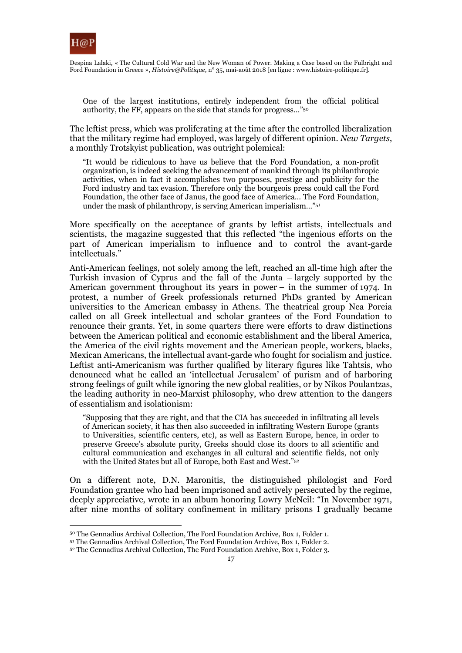

One of the largest institutions, entirely independent from the official political authority, the FF, appears on the side that stands for progress…"50

The leftist press, which was proliferating at the time after the controlled liberalization that the military regime had employed, was largely of different opinion. *New Targets*, a monthly Trotskyist publication, was outright polemical:

"It would be ridiculous to have us believe that the Ford Foundation, a non-profit organization, is indeed seeking the advancement of mankind through its philanthropic activities, when in fact it accomplishes two purposes, prestige and publicity for the Ford industry and tax evasion. Therefore only the bourgeois press could call the Ford Foundation, the other face of Janus, the good face of America… The Ford Foundation, under the mask of philanthropy, is serving American imperialism…"51

More specifically on the acceptance of grants by leftist artists, intellectuals and scientists, the magazine suggested that this reflected "the ingenious efforts on the part of American imperialism to influence and to control the avant-garde intellectuals."

Anti-American feelings, not solely among the left, reached an all-time high after the Turkish invasion of Cyprus and the fall of the Junta – largely supported by the American government throughout its years in power – in the summer of 1974. In protest, a number of Greek professionals returned PhDs granted by American universities to the American embassy in Athens. The theatrical group Nea Poreia called on all Greek intellectual and scholar grantees of the Ford Foundation to renounce their grants. Yet, in some quarters there were efforts to draw distinctions between the American political and economic establishment and the liberal America, the America of the civil rights movement and the American people, workers, blacks, Mexican Americans, the intellectual avant-garde who fought for socialism and justice. Leftist anti-Americanism was further qualified by literary figures like Tahtsis, who denounced what he called an 'intellectual Jerusalem' of purism and of harboring strong feelings of guilt while ignoring the new global realities, or by Nikos Poulantzas, the leading authority in neo-Marxist philosophy, who drew attention to the dangers of essentialism and isolationism:

"Supposing that they are right, and that the CIA has succeeded in infiltrating all levels of American society, it has then also succeeded in infiltrating Western Europe (grants to Universities, scientific centers, etc), as well as Eastern Europe, hence, in order to preserve Greece's absolute purity, Greeks should close its doors to all scientific and cultural communication and exchanges in all cultural and scientific fields, not only with the United States but all of Europe, both East and West."52

On a different note, D.N. Maronitis, the distinguished philologist and Ford Foundation grantee who had been imprisoned and actively persecuted by the regime, deeply appreciative, wrote in an album honoring Lowry McNeil: "In November 1971, after nine months of solitary confinement in military prisons I gradually became

 $\overline{a}$ 

 $^{50}$  The Gennadius Archival Collection, The Ford Foundation Archive, Box 1, Folder 1.  $^{51}$  The Gennadius Archival Collection, The Ford Foundation Archive, Box 1, Folder 2.  $^{52}$  The Gennadius Archival Collection, The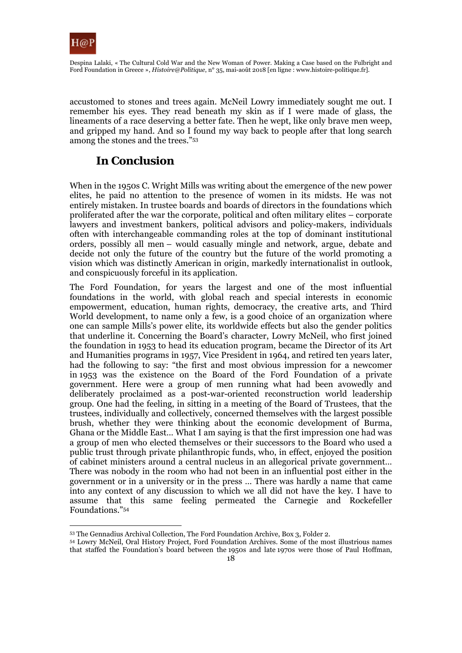

accustomed to stones and trees again. McNeil Lowry immediately sought me out. I remember his eyes. They read beneath my skin as if I were made of glass, the lineaments of a race deserving a better fate. Then he wept, like only brave men weep, and gripped my hand. And so I found my way back to people after that long search among the stones and the trees."53

# **In Conclusion**

When in the 1950s C. Wright Mills was writing about the emergence of the new power elites, he paid no attention to the presence of women in its midsts. He was not entirely mistaken. In trustee boards and boards of directors in the foundations which proliferated after the war the corporate, political and often military elites – corporate lawyers and investment bankers, political advisors and policy-makers, individuals often with interchangeable commanding roles at the top of dominant institutional orders, possibly all men – would casually mingle and network, argue, debate and decide not only the future of the country but the future of the world promoting a vision which was distinctly American in origin, markedly internationalist in outlook, and conspicuously forceful in its application.

The Ford Foundation, for years the largest and one of the most influential foundations in the world, with global reach and special interests in economic empowerment, education, human rights, democracy, the creative arts, and Third World development, to name only a few, is a good choice of an organization where one can sample Mills's power elite, its worldwide effects but also the gender politics that underline it. Concerning the Board's character, Lowry McNeil, who first joined the foundation in 1953 to head its education program, became the Director of its Art and Humanities programs in 1957, Vice President in 1964, and retired ten years later, had the following to say: "the first and most obvious impression for a newcomer in 1953 was the existence on the Board of the Ford Foundation of a private government. Here were a group of men running what had been avowedly and deliberately proclaimed as a post-war-oriented reconstruction world leadership group. One had the feeling, in sitting in a meeting of the Board of Trustees, that the trustees, individually and collectively, concerned themselves with the largest possible brush, whether they were thinking about the economic development of Burma, Ghana or the Middle East… What I am saying is that the first impression one had was a group of men who elected themselves or their successors to the Board who used a public trust through private philanthropic funds, who, in effect, enjoyed the position of cabinet ministers around a central nucleus in an allegorical private government… There was nobody in the room who had not been in an influential post either in the government or in a university or in the press … There was hardly a name that came into any context of any discussion to which we all did not have the key. I have to assume that this same feeling permeated the Carnegie and Rockefeller Foundations."54

 $\overline{a}$ 

<sup>53</sup> The Gennadius Archival Collection, The Ford Foundation Archive, Box 3, Folder 2. 54 Lowry McNeil, Oral History Project, Ford Foundation Archives. Some of the most illustrious names that staffed the Foundation's board between the 1950s and late 1970s were those of Paul Hoffman,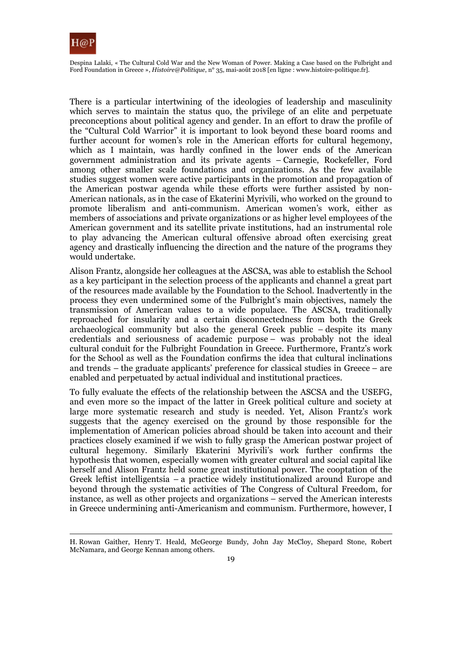

There is a particular intertwining of the ideologies of leadership and masculinity which serves to maintain the status quo, the privilege of an elite and perpetuate preconceptions about political agency and gender. In an effort to draw the profile of the "Cultural Cold Warrior" it is important to look beyond these board rooms and further account for women's role in the American efforts for cultural hegemony, which as I maintain, was hardly confined in the lower ends of the American government administration and its private agents – Carnegie, Rockefeller, Ford among other smaller scale foundations and organizations. As the few available studies suggest women were active participants in the promotion and propagation of the American postwar agenda while these efforts were further assisted by non-American nationals, as in the case of Ekaterini Myrivili, who worked on the ground to promote liberalism and anti-communism. American women's work, either as members of associations and private organizations or as higher level employees of the American government and its satellite private institutions, had an instrumental role to play advancing the American cultural offensive abroad often exercising great agency and drastically influencing the direction and the nature of the programs they would undertake.

Alison Frantz, alongside her colleagues at the ASCSA, was able to establish the School as a key participant in the selection process of the applicants and channel a great part of the resources made available by the Foundation to the School. Inadvertently in the process they even undermined some of the Fulbright's main objectives, namely the transmission of American values to a wide populace. The ASCSA, traditionally reproached for insularity and a certain disconnectedness from both the Greek archaeological community but also the general Greek public – despite its many credentials and seriousness of academic purpose – was probably not the ideal cultural conduit for the Fulbright Foundation in Greece. Furthermore, Frantz's work for the School as well as the Foundation confirms the idea that cultural inclinations and trends – the graduate applicants' preference for classical studies in Greece – are enabled and perpetuated by actual individual and institutional practices.

To fully evaluate the effects of the relationship between the ASCSA and the USEFG, and even more so the impact of the latter in Greek political culture and society at large more systematic research and study is needed. Yet, Alison Frantz's work suggests that the agency exercised on the ground by those responsible for the implementation of American policies abroad should be taken into account and their practices closely examined if we wish to fully grasp the American postwar project of cultural hegemony. Similarly Ekaterini Myrivili's work further confirms the hypothesis that women, especially women with greater cultural and social capital like herself and Alison Frantz held some great institutional power. The cooptation of the Greek leftist intelligentsia – a practice widely institutionalized around Europe and beyond through the systematic activities of The Congress of Cultural Freedom, for instance, as well as other projects and organizations – served the American interests in Greece undermining anti-Americanism and communism. Furthermore, however, I

<sup>1</sup> H. Rowan Gaither, Henry T. Heald, McGeorge Bundy, John Jay McCloy, Shepard Stone, Robert McNamara, and George Kennan among others.